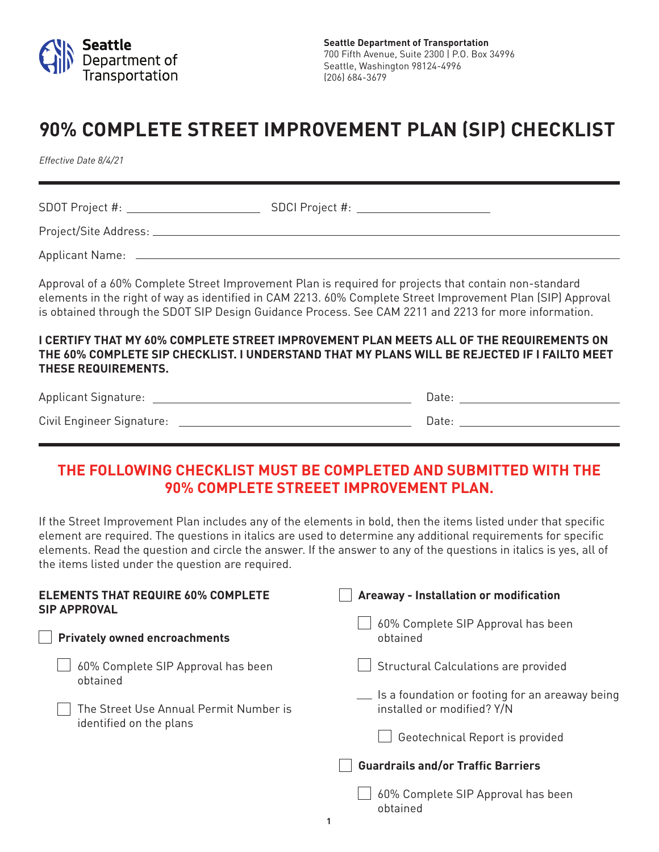

## **90% COMPLETE STREET IMPROVEMENT PLAN (SIP) CHECKLIST**

*Effective Date 8/4/21*

SDOT Project #: SDCI Project #: SDCI Project #: Project/Site Address: Applicant Name: Approval of a 60% Complete Street Improvement Plan is required for projects that contain non-standard

elements in the right of way as identified in CAM 2213. 60% Complete Street Improvement Plan (SIP) Approval is obtained through the SDOT SIP Design Guidance Process. See CAM 2211 and 2213 for more information.

## **I CERTIFY THAT MY 60% COMPLETE STREET IMPROVEMENT PLAN MEETS ALL OF THE REQUIREMENTS ON THE 60% COMPLETE SIP CHECKLIST. I UNDERSTAND THAT MY PLANS WILL BE REJECTED IF I FAILTO MEET THESE REQUIREMENTS.**

| <b>Applicant Signature:</b> |  |
|-----------------------------|--|
| Civil Engineer Signature:   |  |

## **THE FOLLOWING CHECKLIST MUST BE COMPLETED AND SUBMITTED WITH THE 90% COMPLETE STREEET IMPROVEMENT PLAN.**

If the Street Improvement Plan includes any of the elements in bold, then the items listed under that specific element are required. The questions in italics are used to determine any additional requirements for specific elements. Read the question and circle the answer. If the answer to any of the questions in italics is yes, all of the items listed under the question are required.

| <b>ELEMENTS THAT REQUIRE 60% COMPLETE</b><br><b>SIP APPROVAL</b>  | Areaway - Installation or modification                                        |
|-------------------------------------------------------------------|-------------------------------------------------------------------------------|
| <b>Privately owned encroachments</b>                              | 60% Complete SIP Approval has been<br>obtained                                |
| 60% Complete SIP Approval has been<br>obtained                    | Structural Calculations are provided                                          |
| The Street Use Annual Permit Number is<br>identified on the plans | Is a foundation or footing for an areaway being<br>installed or modified? Y/N |
|                                                                   | Geotechnical Report is provided                                               |
|                                                                   | <b>Guardrails and/or Traffic Barriers</b>                                     |
|                                                                   | 60% Complete SIP Approval has been<br>obtained                                |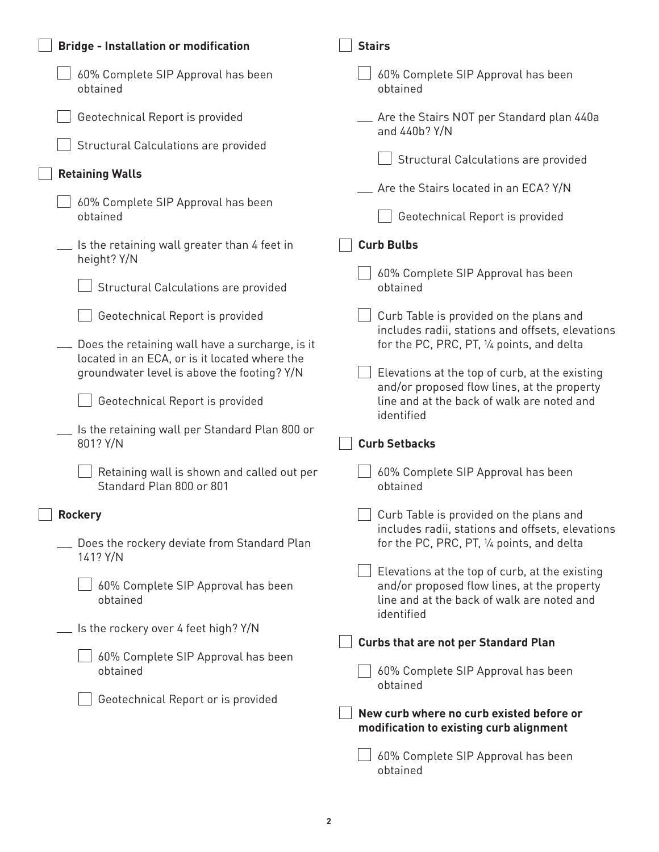| <b>Bridge - Installation or modification</b>                                                                                                    | <b>Stairs</b>                                                                                                                                             |
|-------------------------------------------------------------------------------------------------------------------------------------------------|-----------------------------------------------------------------------------------------------------------------------------------------------------------|
| 60% Complete SIP Approval has been<br>obtained                                                                                                  | 60% Complete SIP Approval has been<br>obtained                                                                                                            |
| Geotechnical Report is provided                                                                                                                 | _ Are the Stairs NOT per Standard plan 440a<br>and 440b? Y/N                                                                                              |
| Structural Calculations are provided                                                                                                            | Structural Calculations are provided                                                                                                                      |
| <b>Retaining Walls</b>                                                                                                                          |                                                                                                                                                           |
| 60% Complete SIP Approval has been<br>obtained                                                                                                  | Are the Stairs located in an ECA? Y/N<br>Geotechnical Report is provided                                                                                  |
| Is the retaining wall greater than 4 feet in<br>height? Y/N                                                                                     | <b>Curb Bulbs</b>                                                                                                                                         |
| Structural Calculations are provided                                                                                                            | 60% Complete SIP Approval has been<br>obtained                                                                                                            |
| Geotechnical Report is provided                                                                                                                 | Curb Table is provided on the plans and<br>includes radii, stations and offsets, elevations                                                               |
| Does the retaining wall have a surcharge, is it<br>located in an ECA, or is it located where the<br>groundwater level is above the footing? Y/N | for the PC, PRC, PT, 1/4 points, and delta<br>Elevations at the top of curb, at the existing                                                              |
| Geotechnical Report is provided                                                                                                                 | and/or proposed flow lines, at the property<br>line and at the back of walk are noted and<br>identified                                                   |
| Is the retaining wall per Standard Plan 800 or<br>801? Y/N                                                                                      | <b>Curb Setbacks</b>                                                                                                                                      |
| Retaining wall is shown and called out per<br>Standard Plan 800 or 801                                                                          | 60% Complete SIP Approval has been<br>obtained                                                                                                            |
| $\overline{\phantom{a}}$ Rockery                                                                                                                | Curb Table is provided on the plans and                                                                                                                   |
| Does the rockery deviate from Standard Plan<br>141? Y/N                                                                                         | includes radii, stations and offsets, elevations<br>for the PC, PRC, PT, 1/4 points, and delta                                                            |
| 60% Complete SIP Approval has been<br>obtained                                                                                                  | Elevations at the top of curb, at the existing<br>and/or proposed flow lines, at the property<br>line and at the back of walk are noted and<br>identified |
| Is the rockery over 4 feet high? Y/N                                                                                                            | <b>Curbs that are not per Standard Plan</b>                                                                                                               |
| 60% Complete SIP Approval has been<br>obtained                                                                                                  | 60% Complete SIP Approval has been                                                                                                                        |
| Geotechnical Report or is provided                                                                                                              | obtained                                                                                                                                                  |
|                                                                                                                                                 | New curb where no curb existed before or<br>modification to existing curb alignment                                                                       |
|                                                                                                                                                 | 60% Complete SIP Approval has been<br>obtained                                                                                                            |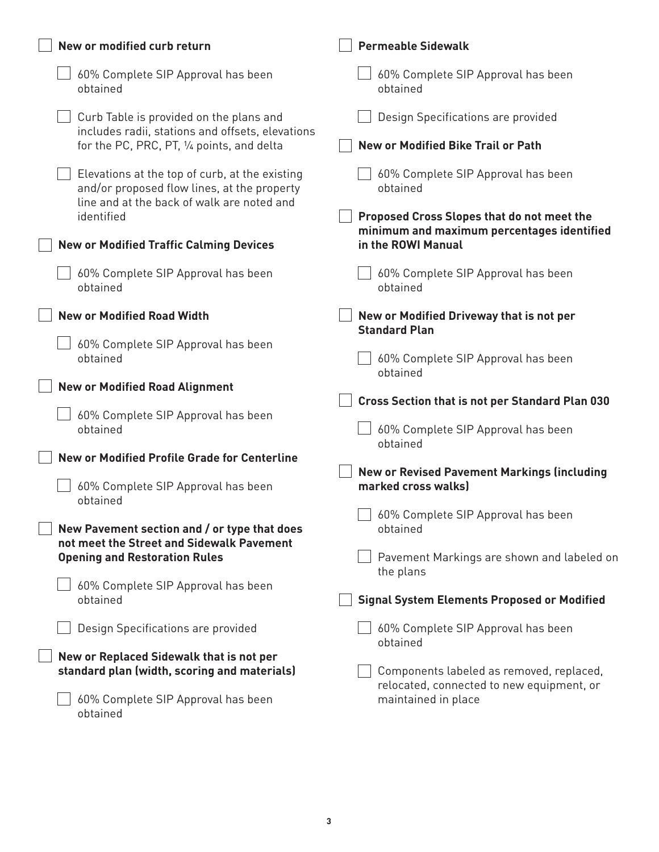| New or modified curb return                                                                                                                               | <b>Permeable Sidewalk</b>                                                                                    |
|-----------------------------------------------------------------------------------------------------------------------------------------------------------|--------------------------------------------------------------------------------------------------------------|
| 60% Complete SIP Approval has been<br>obtained                                                                                                            | 60% Complete SIP Approval has been<br>obtained                                                               |
| Curb Table is provided on the plans and<br>includes radii, stations and offsets, elevations<br>for the PC, PRC, PT, 1/4 points, and delta                 | Design Specifications are provided<br><b>New or Modified Bike Trail or Path</b>                              |
| Elevations at the top of curb, at the existing<br>and/or proposed flow lines, at the property<br>line and at the back of walk are noted and<br>identified | 60% Complete SIP Approval has been<br>obtained<br>Proposed Cross Slopes that do not meet the                 |
| <b>New or Modified Traffic Calming Devices</b>                                                                                                            | minimum and maximum percentages identified<br>in the ROWI Manual                                             |
| 60% Complete SIP Approval has been<br>obtained                                                                                                            | 60% Complete SIP Approval has been<br>obtained                                                               |
| <b>New or Modified Road Width</b>                                                                                                                         | New or Modified Driveway that is not per<br><b>Standard Plan</b>                                             |
| 60% Complete SIP Approval has been<br>obtained                                                                                                            | 60% Complete SIP Approval has been<br>obtained                                                               |
| <b>New or Modified Road Alignment</b>                                                                                                                     | <b>Cross Section that is not per Standard Plan 030</b>                                                       |
| 60% Complete SIP Approval has been<br>obtained                                                                                                            | 60% Complete SIP Approval has been<br>obtained                                                               |
| <b>New or Modified Profile Grade for Centerline</b>                                                                                                       |                                                                                                              |
| 60% Complete SIP Approval has been<br>obtained                                                                                                            | <b>New or Revised Pavement Markings (including</b><br>marked cross walks)                                    |
| New Pavement section and / or type that does<br>not meet the Street and Sidewalk Pavement<br><b>Opening and Restoration Rules</b>                         | 60% Complete SIP Approval has been<br>obtained<br>Pavement Markings are shown and labeled on                 |
|                                                                                                                                                           | the plans                                                                                                    |
| 60% Complete SIP Approval has been<br>obtained                                                                                                            | <b>Signal System Elements Proposed or Modified</b>                                                           |
| Design Specifications are provided                                                                                                                        | 60% Complete SIP Approval has been<br>obtained                                                               |
| New or Replaced Sidewalk that is not per                                                                                                                  |                                                                                                              |
| standard plan (width, scoring and materials)<br>60% Complete SIP Approval has been<br>obtained                                                            | Components labeled as removed, replaced,<br>relocated, connected to new equipment, or<br>maintained in place |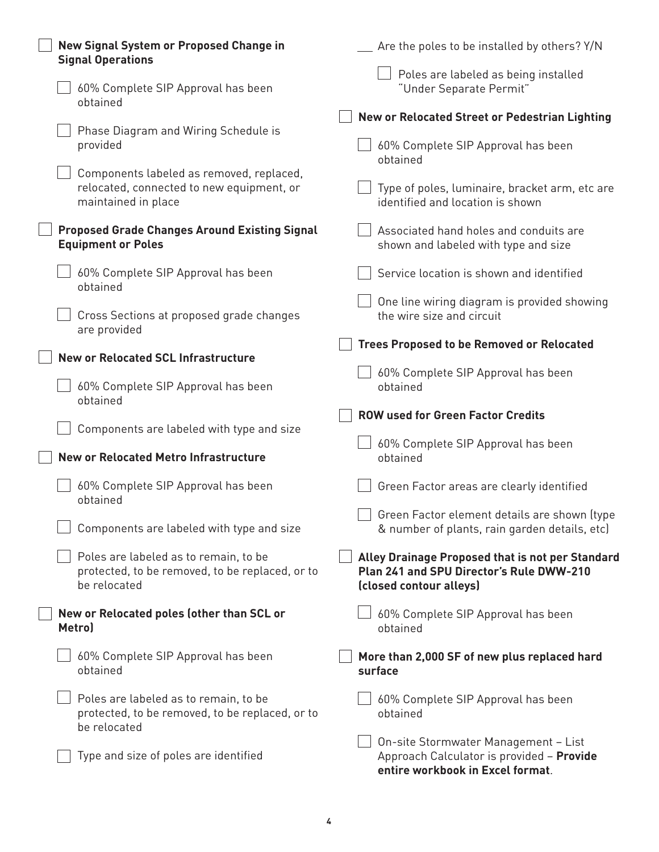| New Signal System or Proposed Change in<br><b>Signal Operations</b>                                          | Are the poles to be installed by others? Y/N                                                                            |
|--------------------------------------------------------------------------------------------------------------|-------------------------------------------------------------------------------------------------------------------------|
| 60% Complete SIP Approval has been<br>obtained                                                               | Poles are labeled as being installed<br>"Under Separate Permit"                                                         |
|                                                                                                              | New or Relocated Street or Pedestrian Lighting                                                                          |
| Phase Diagram and Wiring Schedule is<br>provided                                                             | 60% Complete SIP Approval has been<br>obtained                                                                          |
| Components labeled as removed, replaced,<br>relocated, connected to new equipment, or<br>maintained in place | Type of poles, luminaire, bracket arm, etc are<br>identified and location is shown                                      |
| <b>Proposed Grade Changes Around Existing Signal</b><br><b>Equipment or Poles</b>                            | Associated hand holes and conduits are<br>shown and labeled with type and size                                          |
| 60% Complete SIP Approval has been<br>obtained                                                               | Service location is shown and identified                                                                                |
| Cross Sections at proposed grade changes<br>are provided                                                     | One line wiring diagram is provided showing<br>the wire size and circuit                                                |
|                                                                                                              | <b>Trees Proposed to be Removed or Relocated</b>                                                                        |
| <b>New or Relocated SCL Infrastructure</b>                                                                   |                                                                                                                         |
| 60% Complete SIP Approval has been<br>obtained                                                               | 60% Complete SIP Approval has been<br>obtained                                                                          |
|                                                                                                              | <b>ROW used for Green Factor Credits</b>                                                                                |
| Components are labeled with type and size                                                                    |                                                                                                                         |
|                                                                                                              |                                                                                                                         |
|                                                                                                              | 60% Complete SIP Approval has been                                                                                      |
| <b>New or Relocated Metro Infrastructure</b>                                                                 | obtained                                                                                                                |
| 60% Complete SIP Approval has been<br>obtained                                                               | Green Factor areas are clearly identified                                                                               |
| Components are labeled with type and size                                                                    | $\vert\ \vert$ Green Factor element details are shown (type<br>& number of plants, rain garden details, etc)            |
| Poles are labeled as to remain, to be<br>protected, to be removed, to be replaced, or to<br>be relocated     | Alley Drainage Proposed that is not per Standard<br>Plan 241 and SPU Director's Rule DWW-210<br>(closed contour alleys) |
| New or Relocated poles (other than SCL or<br>Metro)                                                          | 60% Complete SIP Approval has been<br>obtained                                                                          |
| 60% Complete SIP Approval has been<br>obtained                                                               | More than 2,000 SF of new plus replaced hard<br>surface                                                                 |
| Poles are labeled as to remain, to be<br>protected, to be removed, to be replaced, or to<br>be relocated     | 60% Complete SIP Approval has been<br>obtained                                                                          |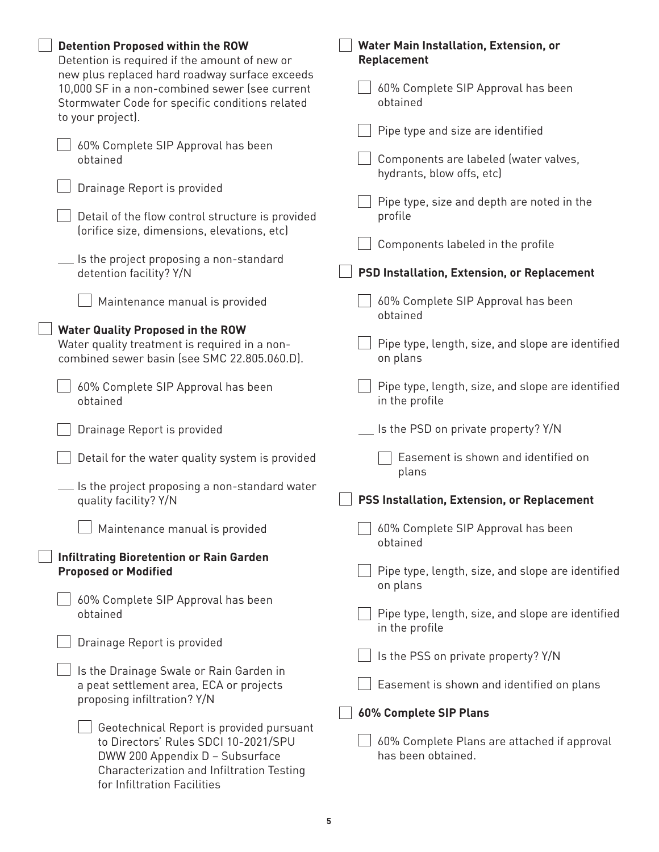| <b>Detention Proposed within the ROW</b><br>Detention is required if the amount of new or<br>new plus replaced hard roadway surface exceeds         | Water Main Installation, Extension, or<br><b>Replacement</b>        |
|-----------------------------------------------------------------------------------------------------------------------------------------------------|---------------------------------------------------------------------|
| 10,000 SF in a non-combined sewer (see current<br>Stormwater Code for specific conditions related                                                   | 60% Complete SIP Approval has been<br>obtained                      |
| to your project).                                                                                                                                   | Pipe type and size are identified                                   |
| 60% Complete SIP Approval has been                                                                                                                  |                                                                     |
| obtained<br>Drainage Report is provided                                                                                                             | Components are labeled (water valves,<br>hydrants, blow offs, etc)  |
|                                                                                                                                                     | Pipe type, size and depth are noted in the                          |
| Detail of the flow control structure is provided<br>(orifice size, dimensions, elevations, etc)                                                     | profile                                                             |
|                                                                                                                                                     | Components labeled in the profile                                   |
| Is the project proposing a non-standard<br>detention facility? Y/N                                                                                  | <b>PSD Installation, Extension, or Replacement</b>                  |
| Maintenance manual is provided                                                                                                                      | 60% Complete SIP Approval has been<br>obtained                      |
| <b>Water Quality Proposed in the ROW</b>                                                                                                            |                                                                     |
| Water quality treatment is required in a non-<br>combined sewer basin (see SMC 22.805.060.D).                                                       | Pipe type, length, size, and slope are identified<br>on plans       |
| 60% Complete SIP Approval has been<br>obtained                                                                                                      | Pipe type, length, size, and slope are identified<br>in the profile |
| Drainage Report is provided                                                                                                                         | Is the PSD on private property? Y/N                                 |
| Detail for the water quality system is provided                                                                                                     | Easement is shown and identified on<br>plans                        |
| Is the project proposing a non-standard water                                                                                                       |                                                                     |
| quality facility? Y/N                                                                                                                               | PSS Installation, Extension, or Replacement                         |
| Maintenance manual is provided                                                                                                                      | 60% Complete SIP Approval has been<br>obtained                      |
| <b>Infiltrating Bioretention or Rain Garden</b>                                                                                                     |                                                                     |
| <b>Proposed or Modified</b>                                                                                                                         | Pipe type, length, size, and slope are identified<br>on plans       |
| 60% Complete SIP Approval has been<br>obtained                                                                                                      | Pipe type, length, size, and slope are identified                   |
|                                                                                                                                                     | in the profile                                                      |
| Drainage Report is provided                                                                                                                         | Is the PSS on private property? Y/N                                 |
| Is the Drainage Swale or Rain Garden in                                                                                                             |                                                                     |
| a peat settlement area, ECA or projects<br>proposing infiltration? Y/N                                                                              | Easement is shown and identified on plans                           |
|                                                                                                                                                     | 60% Complete SIP Plans                                              |
| Geotechnical Report is provided pursuant                                                                                                            |                                                                     |
| to Directors' Rules SDCI 10-2021/SPU<br>DWW 200 Appendix D - Subsurface<br>Characterization and Infiltration Testing<br>for Infiltration Facilities | 60% Complete Plans are attached if approval<br>has been obtained.   |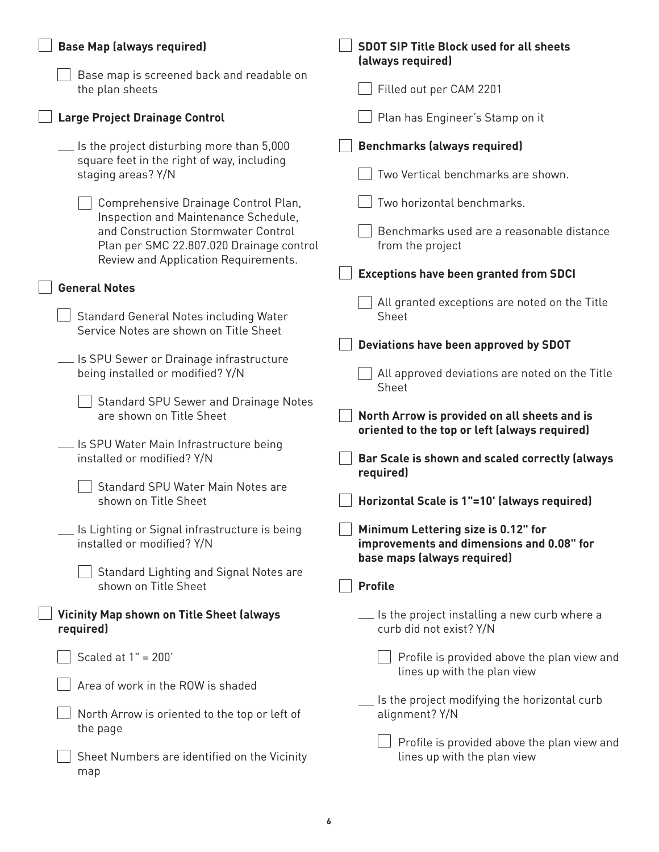| <b>Base Map (always required)</b>                                                                                                                                                                       | <b>SDOT SIP Title Block used for all sheets</b><br>(always required)                                                                         |
|---------------------------------------------------------------------------------------------------------------------------------------------------------------------------------------------------------|----------------------------------------------------------------------------------------------------------------------------------------------|
| Base map is screened back and readable on<br>the plan sheets                                                                                                                                            | Filled out per CAM 2201                                                                                                                      |
| <b>Large Project Drainage Control</b>                                                                                                                                                                   | Plan has Engineer's Stamp on it                                                                                                              |
| Is the project disturbing more than 5,000<br>square feet in the right of way, including<br>staging areas? Y/N                                                                                           | <b>Benchmarks (always required)</b><br>Two Vertical benchmarks are shown.                                                                    |
| Comprehensive Drainage Control Plan,<br>Inspection and Maintenance Schedule,<br>and Construction Stormwater Control<br>Plan per SMC 22.807.020 Drainage control<br>Review and Application Requirements. | Two horizontal benchmarks.<br>Benchmarks used are a reasonable distance<br>from the project<br><b>Exceptions have been granted from SDCI</b> |
| <b>General Notes</b>                                                                                                                                                                                    |                                                                                                                                              |
| Standard General Notes including Water<br>Service Notes are shown on Title Sheet                                                                                                                        | All granted exceptions are noted on the Title<br>Sheet                                                                                       |
| $\overline{\phantom{a}}$ Is SPU Sewer or Drainage infrastructure<br>being installed or modified? Y/N                                                                                                    | Deviations have been approved by SDOT<br>All approved deviations are noted on the Title                                                      |
| <b>Standard SPU Sewer and Drainage Notes</b><br>are shown on Title Sheet                                                                                                                                | Sheet<br>North Arrow is provided on all sheets and is<br>oriented to the top or left (always required)                                       |
| Is SPU Water Main Infrastructure being<br>installed or modified? Y/N                                                                                                                                    | Bar Scale is shown and scaled correctly (always<br>required)                                                                                 |
| Standard SPU Water Main Notes are<br>shown on Title Sheet                                                                                                                                               | Horizontal Scale is 1"=10' (always required)                                                                                                 |
| Is Lighting or Signal infrastructure is being<br>installed or modified? Y/N                                                                                                                             | Minimum Lettering size is 0.12" for<br>improvements and dimensions and 0.08" for<br>base maps (always required)                              |
| Standard Lighting and Signal Notes are<br>shown on Title Sheet                                                                                                                                          | <b>Profile</b>                                                                                                                               |
| <b>Vicinity Map shown on Title Sheet (always</b><br>required)                                                                                                                                           | Let us the project installing a new curb where a<br>curb did not exist? Y/N                                                                  |
| Scaled at $1" = 200'$                                                                                                                                                                                   | Profile is provided above the plan view and<br>lines up with the plan view                                                                   |
| Area of work in the ROW is shaded                                                                                                                                                                       | Is the project modifying the horizontal curb                                                                                                 |
| North Arrow is oriented to the top or left of<br>the page                                                                                                                                               | alignment? Y/N                                                                                                                               |
| Sheet Numbers are identified on the Vicinity<br>map                                                                                                                                                     | Profile is provided above the plan view and<br>lines up with the plan view                                                                   |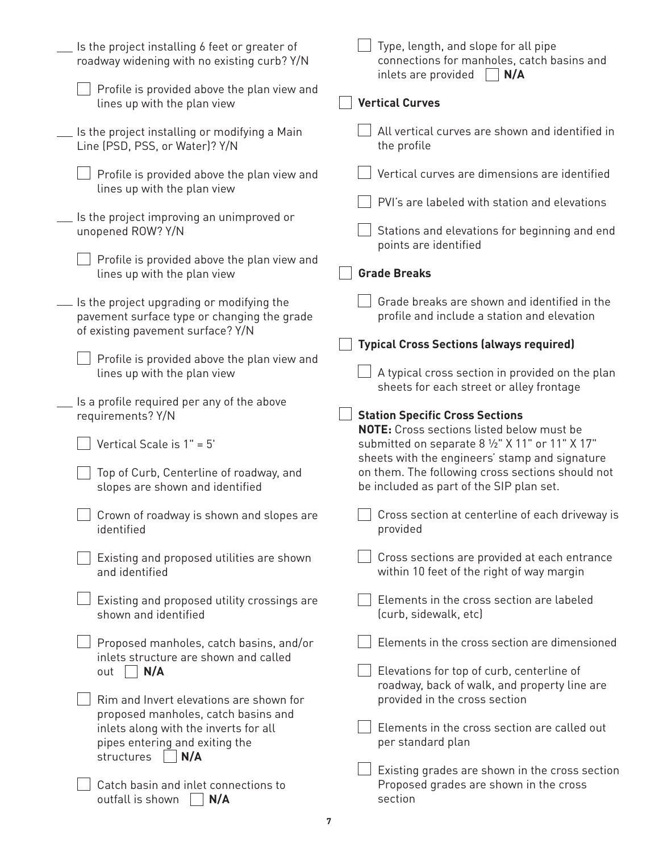| Is the project installing 6 feet or greater of<br>roadway widening with no existing curb? Y/N                                 | Type, length, and slope for all pipe<br>connections for manholes, catch basins and<br>inlets are provided<br>N/A |
|-------------------------------------------------------------------------------------------------------------------------------|------------------------------------------------------------------------------------------------------------------|
| Profile is provided above the plan view and<br>lines up with the plan view                                                    | <b>Vertical Curves</b>                                                                                           |
| Is the project installing or modifying a Main<br>Line (PSD, PSS, or Water)? Y/N                                               | All vertical curves are shown and identified in<br>the profile                                                   |
| Profile is provided above the plan view and<br>lines up with the plan view                                                    | Vertical curves are dimensions are identified                                                                    |
|                                                                                                                               | PVI's are labeled with station and elevations                                                                    |
| Is the project improving an unimproved or<br>unopened ROW? Y/N                                                                | Stations and elevations for beginning and end<br>points are identified                                           |
| Profile is provided above the plan view and<br>lines up with the plan view                                                    | <b>Grade Breaks</b>                                                                                              |
| Is the project upgrading or modifying the<br>pavement surface type or changing the grade<br>of existing pavement surface? Y/N | Grade breaks are shown and identified in the<br>profile and include a station and elevation                      |
|                                                                                                                               | <b>Typical Cross Sections (always required)</b>                                                                  |
| Profile is provided above the plan view and<br>lines up with the plan view                                                    | A typical cross section in provided on the plan<br>sheets for each street or alley frontage                      |
| Is a profile required per any of the above<br>requirements? Y/N                                                               | <b>Station Specific Cross Sections</b><br><b>NOTE:</b> Cross sections listed below must be                       |
| Vertical Scale is $1" = 5'$                                                                                                   | submitted on separate 8 1/2" X 11" or 11" X 17"<br>sheets with the engineers' stamp and signature                |
| Top of Curb, Centerline of roadway, and<br>slopes are shown and identified                                                    | on them. The following cross sections should not<br>be included as part of the SIP plan set.                     |
| $\Box$ Crown of roadway is shown and slopes are<br>identified                                                                 | Cross section at centerline of each driveway is<br>provided                                                      |
| Existing and proposed utilities are shown<br>and identified                                                                   | Cross sections are provided at each entrance<br>within 10 feet of the right of way margin                        |
| Existing and proposed utility crossings are<br>shown and identified                                                           | Elements in the cross section are labeled<br>(curb, sidewalk, etc)                                               |
| Proposed manholes, catch basins, and/or<br>inlets structure are shown and called                                              | Elements in the cross section are dimensioned                                                                    |
| N/A<br>out                                                                                                                    | Elevations for top of curb, centerline of<br>roadway, back of walk, and property line are                        |
| Rim and Invert elevations are shown for<br>proposed manholes, catch basins and                                                | provided in the cross section                                                                                    |
| inlets along with the inverts for all<br>pipes entering and exiting the                                                       | Elements in the cross section are called out<br>per standard plan                                                |
| structures   N/A                                                                                                              | Existing grades are shown in the cross section                                                                   |
| Catch basin and inlet connections to<br>outfall is shown<br>N/A                                                               | Proposed grades are shown in the cross<br>section                                                                |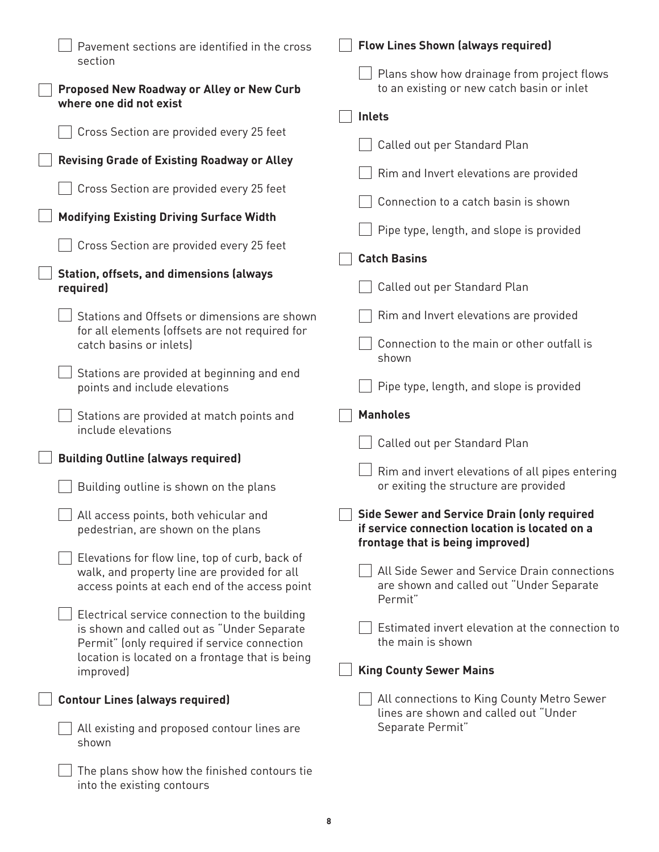| Pavement sections are identified in the cross<br>section                                                                                        | <b>Flow Lines Shown (always required)</b>                                                                                               |
|-------------------------------------------------------------------------------------------------------------------------------------------------|-----------------------------------------------------------------------------------------------------------------------------------------|
| Proposed New Roadway or Alley or New Curb                                                                                                       | Plans show how drainage from project flows<br>to an existing or new catch basin or inlet                                                |
| where one did not exist                                                                                                                         | <b>Inlets</b>                                                                                                                           |
| Cross Section are provided every 25 feet                                                                                                        | Called out per Standard Plan                                                                                                            |
| <b>Revising Grade of Existing Roadway or Alley</b><br>Cross Section are provided every 25 feet                                                  | Rim and Invert elevations are provided                                                                                                  |
| <b>Modifying Existing Driving Surface Width</b>                                                                                                 | Connection to a catch basin is shown                                                                                                    |
| Cross Section are provided every 25 feet                                                                                                        | Pipe type, length, and slope is provided                                                                                                |
| <b>Station, offsets, and dimensions (always</b>                                                                                                 | <b>Catch Basins</b>                                                                                                                     |
| required)                                                                                                                                       | Called out per Standard Plan                                                                                                            |
| Stations and Offsets or dimensions are shown<br>for all elements (offsets are not required for                                                  | Rim and Invert elevations are provided                                                                                                  |
| catch basins or inlets)                                                                                                                         | Connection to the main or other outfall is<br>shown                                                                                     |
| Stations are provided at beginning and end<br>points and include elevations                                                                     | Pipe type, length, and slope is provided                                                                                                |
|                                                                                                                                                 |                                                                                                                                         |
| Stations are provided at match points and<br>include elevations                                                                                 | <b>Manholes</b>                                                                                                                         |
|                                                                                                                                                 | Called out per Standard Plan                                                                                                            |
| <b>Building Outline (always required)</b><br>Building outline is shown on the plans                                                             | Rim and invert elevations of all pipes entering<br>or exiting the structure are provided                                                |
| $\Box$ All access points, both vehicular and<br>pedestrian, are shown on the plans                                                              | <b>Side Sewer and Service Drain (only required</b><br>if service connection location is located on a                                    |
| Elevations for flow line, top of curb, back of<br>walk, and property line are provided for all<br>access points at each end of the access point | frontage that is being improved)<br>All Side Sewer and Service Drain connections<br>are shown and called out "Under Separate<br>Permit" |
| Electrical service connection to the building<br>is shown and called out as "Under Separate<br>Permit" (only required if service connection     | Estimated invert elevation at the connection to<br>the main is shown                                                                    |
| location is located on a frontage that is being<br>improved)                                                                                    | <b>King County Sewer Mains</b>                                                                                                          |
| <b>Contour Lines (always required)</b>                                                                                                          | All connections to King County Metro Sewer                                                                                              |
| All existing and proposed contour lines are<br>shown                                                                                            | lines are shown and called out "Under<br>Separate Permit"                                                                               |

into the existing contours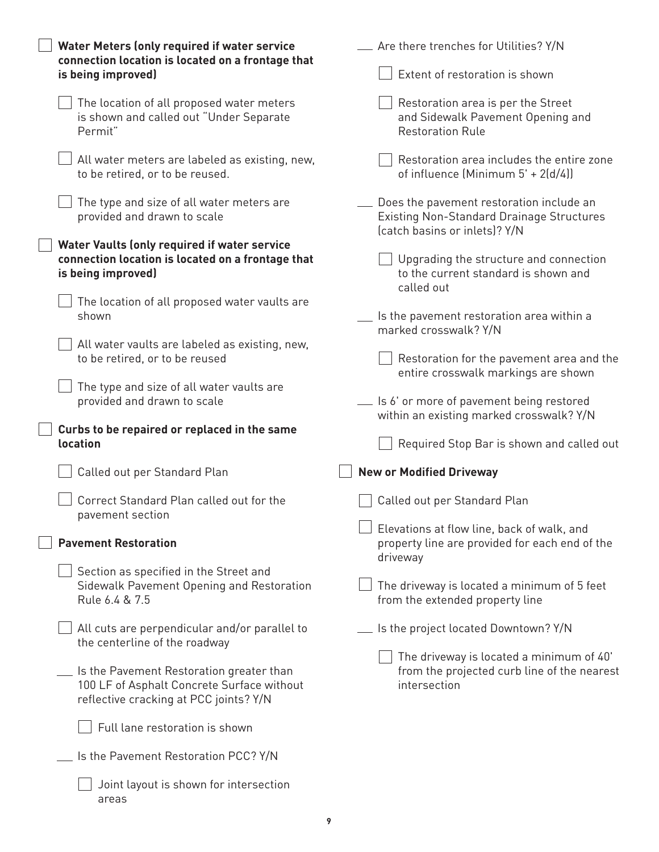| Water Meters (only required if water service<br>connection location is located on a frontage that                                | $\equiv$ Are there trenches for Utilities? Y/N                                                                                |
|----------------------------------------------------------------------------------------------------------------------------------|-------------------------------------------------------------------------------------------------------------------------------|
| is being improved)                                                                                                               | Extent of restoration is shown                                                                                                |
| The location of all proposed water meters<br>is shown and called out "Under Separate<br>Permit"                                  | Restoration area is per the Street<br>and Sidewalk Pavement Opening and<br><b>Restoration Rule</b>                            |
| All water meters are labeled as existing, new,<br>to be retired, or to be reused.                                                | Restoration area includes the entire zone<br>of influence (Minimum $5' + 2(d/4)$ )                                            |
| The type and size of all water meters are<br>provided and drawn to scale                                                         | Does the pavement restoration include an<br><b>Existing Non-Standard Drainage Structures</b><br>(catch basins or inlets)? Y/N |
| Water Vaults (only required if water service<br>connection location is located on a frontage that<br>is being improved)          | Upgrading the structure and connection<br>to the current standard is shown and<br>called out                                  |
| The location of all proposed water vaults are<br>shown                                                                           | __ Is the pavement restoration area within a<br>marked crosswalk? Y/N                                                         |
| All water vaults are labeled as existing, new,<br>to be retired, or to be reused                                                 | Restoration for the pavement area and the<br>entire crosswalk markings are shown                                              |
| The type and size of all water vaults are<br>provided and drawn to scale                                                         | Let Is 6' or more of pavement being restored<br>within an existing marked crosswalk? Y/N                                      |
|                                                                                                                                  |                                                                                                                               |
| Curbs to be repaired or replaced in the same<br><b>location</b>                                                                  | Required Stop Bar is shown and called out                                                                                     |
| Called out per Standard Plan                                                                                                     | <b>New or Modified Driveway</b>                                                                                               |
| Correct Standard Plan called out for the<br>pavement section                                                                     | Called out per Standard Plan                                                                                                  |
| <b>Pavement Restoration</b>                                                                                                      | Elevations at flow line, back of walk, and<br>property line are provided for each end of the                                  |
| Section as specified in the Street and<br>Sidewalk Pavement Opening and Restoration<br>Rule 6.4 & 7.5                            | driveway<br>The driveway is located a minimum of 5 feet<br>from the extended property line                                    |
| All cuts are perpendicular and/or parallel to<br>the centerline of the roadway                                                   | Is the project located Downtown? Y/N                                                                                          |
| Is the Pavement Restoration greater than<br>100 LF of Asphalt Concrete Surface without<br>reflective cracking at PCC joints? Y/N | The driveway is located a minimum of 40'<br>from the projected curb line of the nearest<br>intersection                       |
| Full lane restoration is shown                                                                                                   |                                                                                                                               |
| Is the Pavement Restoration PCC? Y/N                                                                                             |                                                                                                                               |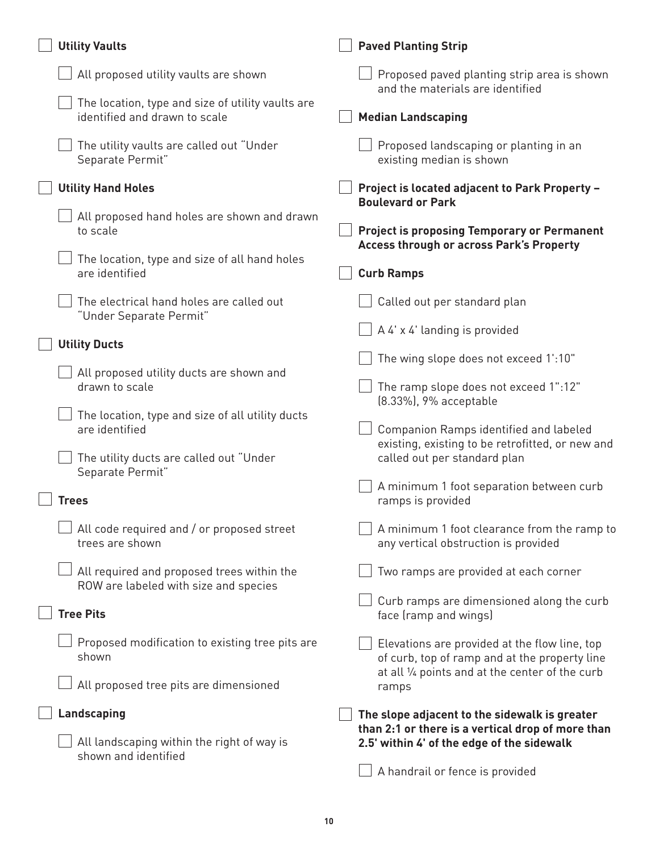| <b>Utility Vaults</b>                                                               | <b>Paved Planting Strip</b>                                                                        |
|-------------------------------------------------------------------------------------|----------------------------------------------------------------------------------------------------|
| All proposed utility vaults are shown                                               | Proposed paved planting strip area is shown<br>and the materials are identified                    |
| The location, type and size of utility vaults are<br>identified and drawn to scale  | <b>Median Landscaping</b>                                                                          |
| The utility vaults are called out "Under<br>Separate Permit"                        | Proposed landscaping or planting in an<br>existing median is shown                                 |
| <b>Utility Hand Holes</b>                                                           | Project is located adjacent to Park Property -<br><b>Boulevard or Park</b>                         |
| All proposed hand holes are shown and drawn<br>to scale                             | <b>Project is proposing Temporary or Permanent</b>                                                 |
| The location, type and size of all hand holes<br>are identified                     | <b>Access through or across Park's Property</b><br><b>Curb Ramps</b>                               |
| The electrical hand holes are called out<br>"Under Separate Permit"                 | Called out per standard plan                                                                       |
| <b>Utility Ducts</b>                                                                | A 4' x 4' landing is provided                                                                      |
| All proposed utility ducts are shown and                                            | The wing slope does not exceed 1:10"                                                               |
| drawn to scale                                                                      | The ramp slope does not exceed 1":12"<br>(8.33%), 9% acceptable                                    |
| The location, type and size of all utility ducts<br>are identified                  | Companion Ramps identified and labeled<br>existing, existing to be retrofitted, or new and         |
| The utility ducts are called out "Under<br>Separate Permit"                         | called out per standard plan                                                                       |
| <b>Trees</b>                                                                        | A minimum 1 foot separation between curb<br>ramps is provided                                      |
| All code required and / or proposed street<br>trees are shown                       | A minimum 1 foot clearance from the ramp to<br>any vertical obstruction is provided                |
| All required and proposed trees within the<br>ROW are labeled with size and species | Two ramps are provided at each corner                                                              |
| <b>Tree Pits</b>                                                                    | Curb ramps are dimensioned along the curb<br>face (ramp and wings)                                 |
| Proposed modification to existing tree pits are<br>shown                            | Elevations are provided at the flow line, top<br>of curb, top of ramp and at the property line     |
| All proposed tree pits are dimensioned                                              | at all 1/4 points and at the center of the curb<br>ramps                                           |
| Landscaping                                                                         | The slope adjacent to the sidewalk is greater<br>than 2:1 or there is a vertical drop of more than |
| All landscaping within the right of way is<br>shown and identified                  | 2.5' within 4' of the edge of the sidewalk<br>A handrail or fence is provided                      |